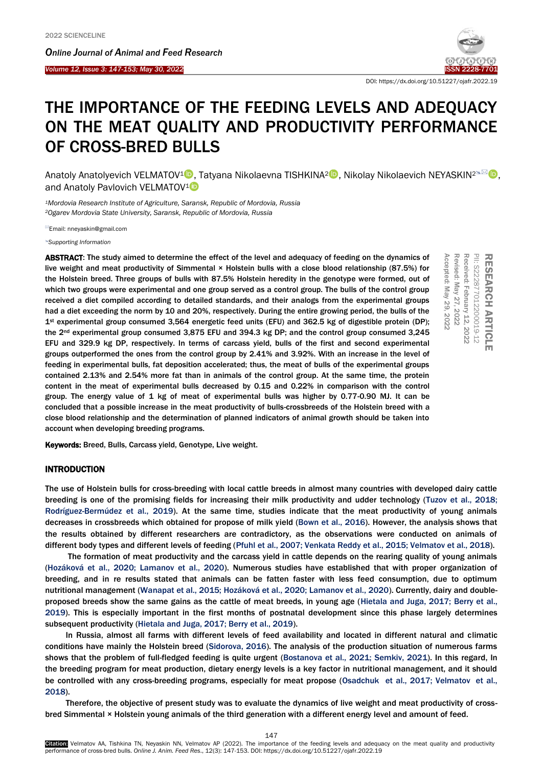Ī

*Online Journal of A[nimal and](http://www.ojafr.ir/main/) Feed Research Volume 12, Issue 3: 147-153; May 30, 2022* 



DOI: https://dx.doi.org/10.51227/ojafr.2022.19

# THE IMPORTANCE OF THE FEEDING LEVELS AND ADEQUACY ON THE MEAT QUALITY AND PRODUCTIVITY PERFORMANCE OF CROSS-BRED BULLS

Anatoly Anatolyevich VELMATOV<sup>1</sup> . Tatyana Nikolaevna TISHKINA<sup>2</sup> . Nikolay Nikolaevich NEYASKIN<sup>2≤⊠</sup> . and Anatoly Pavlovich VELMATOV<sup>1</sup>

*<sup>1</sup>Mordovia Research Institute of Agriculture, Saransk, Republic of Mordovia, Russia <sup>2</sup>Ogarev Mordovia State University, Saransk, Republic of Mordovia, Russia*

Email: nneyaskin@gmail.com

*[Supporting Information](#page-5-0)*

ABSTRACT: The study aimed to determine the effect of the level and adequacy of feeding on the dynamics of live weight and meat productivity of Simmental × Holstein bulls with a close blood relationship (87.5%) for the Holstein breed. Three groups of bulls with 87.5% Holstein heredity in the genotype were formed, out of which two groups were experimental and one group served as a control group. The bulls of the control group received a diet compiled according to detailed standards, and their analogs from the experimental groups had a diet exceeding the norm by 10 and 20%, respectively. During the entire growing period, the bulls of the 1st experimental group consumed 3,564 energetic feed units (EFU) and 362.5 kg of digestible protein (DP); the 2nd experimental group consumed 3,875 EFU and 394.3 kg DP; and the control group consumed 3,245 EFU and 329.9 kg DP, respectively. In terms of carcass yield, bulls of the first and second experimental groups outperformed the ones from the control group by 2.41% and 3.92%. With an increase in the level of feeding in experimental bulls, fat deposition accelerated; thus, the meat of bulls of the experimental groups contained 2.13% and 2.54% more fat than in animals of the control group. At the same time, the protein content in the meat of experimental bulls decreased by 0.15 and 0.22% in comparison with the control group. The energy value of 1 kg of meat of experimental bulls was higher by 0.77-0.90 MJ. It can be concluded that a possible increase in the meat productivity of bulls-crossbreeds of the Holstein breed with a close blood relationship and the determination of planned indicators of animal growth should be taken into account when developing breeding programs. **ABSTRACT:** The study aimed to determine the effect of the level and adequacy of feeding on the dynamics of invitation bulls with a close blood relationship (87.5%) for the distinuental  $\times$  Holstein heredly in the genoty

# INTRODUCTION

The use of Holstein bulls for cross-breeding with local cattle breeds in almost many countries with developed dairy cattle breeding is one of the promising fields for increasing their milk productivity and udder technology [\(Tuzov et al., 2018;](#page-6-0)  [Rodríguez-Bermúdez et al., 2019\).](#page-6-0) At the same time, studies indicate that the meat productivity of young animals decreases in crossbreeds which obtained for propose of milk yield [\(Bown et al., 2016\). H](#page-6-0)owever, the analysis shows that the results obtained by different researchers are contradictory, as the observations were conducted on animals of different body types and different levels of feedin[g \(Pfuhl et al., 2007; Venkata Reddy et al., 2015;](#page-6-0) Velmatov et al., 2018).

The formation of meat productivity and the carcass yield in cattle depends on the rearing quality of young animals [\(Hozáková et al., 2020; Lamanov et al., 2020\).](#page-6-0) Numerous studies have established that with proper organization of breeding, and in re results stated that animals can be fatten faster with less feed consumption, due to optimum nutritional management (Wanapat [et al., 2015; Hozáková et al., 2020; Lamanov et al., 2020\).](#page-6-0) Currently, dairy and doubleproposed breeds show the same gains as the cattle of meat breeds, in young age [\(Hietala and Juga, 2017; Berry et al.,](#page-6-0)  2019). This is especially important in the first months of postnatal development since this phase largely determines subsequent productivity [\(Hietala and Juga, 2017; Berry et al., 2019\).](#page-6-0)

In Russia, almost all farms with different levels of feed availability and located in different natural and climatic conditions have mainly the Holstein bree[d \(Sidorova, 2016\). Th](#page-6-0)e analysis of the production situation of numerous farms shows that the problem of full-fledged feeding is quite urgent [\(Bostanova et al., 2021; Semkiv, 2021\).](#page-6-0) In this regard, In the breeding program for meat production, dietary energy levels is a key factor in nutritional management, and it should be controlled with any cross-breeding programs, especially for meat propose [\(Osadchuk et al., 2017; Velmatov](#page-6-0) et al., 2018).

Therefore, the objective of present study was to evaluate the dynamics of live weight and meat productivity of crossbred Simmental × Holstein young animals of the third generation with a different energy level and amount of feed.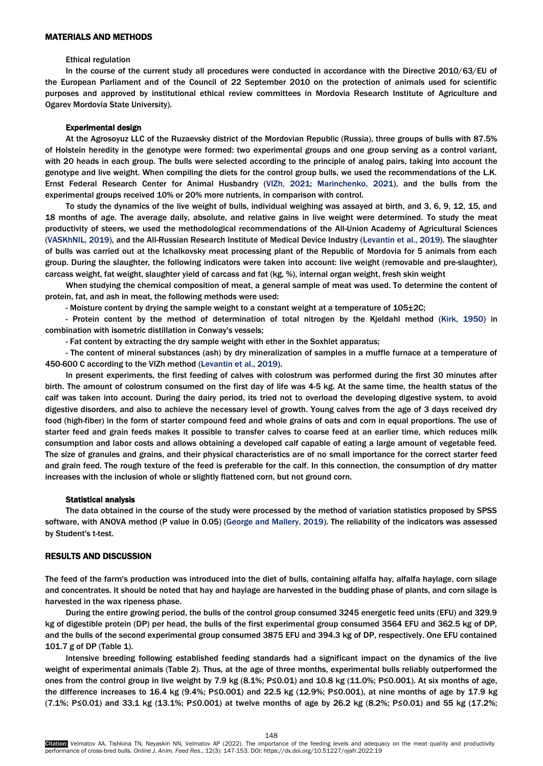# MATERIALS AND METHODS

### Ethical regulation

In the course of the current study all procedures were conducted in accordance with the Directive 2010/63/EU of the European Parliament and of the Council of 22 September 2010 on the protection of animals used for scientific purposes and approved by institutional ethical review committees in Mordovia Research Institute of Agriculture and Ogarev Mordovia State University).

## Experimental design

At the Agrosoyuz LLC of the Ruzaevsky district of the Mordovian Republic (Russia), three groups of bulls with 87.5% of Holstein heredity in the genotype were formed: two experimental groups and one group serving as a control variant, with 20 heads in each group. The bulls were selected according to the principle of analog pairs, taking into account the genotype and live weight. When compiling the diets for the control group bulls, we used the recommendations of the L.K. Ernst Federal Research Center for Animal Husbandry [\(VIZh, 2021; Marinchenko, 2021\),](#page-6-0) and the bulls from the experimental groups received 10% or 20% more nutrients, in comparison with control.

To study the dynamics of the live weight of bulls, individual weighing was assayed at birth, and 3, 6, 9, 12, 15, and 18 months of age. The average daily, absolute, and relative gains in live weight were determined. To study the meat productivity of steers, we used the methodological recommendations of the All-Union Academy of Agricultural Sciences [\(VASKhNIL, 2019\),](#page-6-0) and the All-Russian Research Institute of Medical Device Industry [\(Levantin et al., 2019\)](#page-6-0). The slaughter of bulls was carried out at the Ichalkovsky meat processing plant of the Republic of Mordovia for 5 animals from each group. During the slaughter, the following indicators were taken into account: live weight (removable and pre-slaughter), carcass weight, fat weight, slaughter yield of carcass and fat (kg, %), internal organ weight, fresh skin weight

When studying the chemical composition of meat, a general sample of meat was used. To determine the content of protein, fat, and ash in meat, the following methods were used:

- Moisture content by drying the sample weight to a constant weight at a temperature of 105±2C;

- Protein content by the method of determination of total nitrogen by the Kjeldahl method [\(Kirk, 1950\)](#page-6-0) in combination with isometric distillation in Conway's vessels;

- Fat content by extracting the dry sample weight with ether in the Soxhlet apparatus;

- The content of mineral substances (ash) by dry mineralization of samples in a muffle furnace at a temperature of 450-600 C according to the VIZh method [\(Levantin et al., 2019\)](#page-6-0).

In present experiments, the first feeding of calves with colostrum was performed during the first 30 minutes after birth. The amount of colostrum consumed on the first day of life was 4-5 kg. At the same time, the health status of the calf was taken into account. During the dairy period, its tried not to overload the developing digestive system, to avoid digestive disorders, and also to achieve the necessary level of growth. Young calves from the age of 3 days received dry food (high-fiber) in the form of starter compound feed and whole grains of oats and corn in equal proportions. The use of starter feed and grain feeds makes it possible to transfer calves to coarse feed at an earlier time, which reduces milk consumption and labor costs and allows obtaining a developed calf capable of eating a large amount of vegetable feed. The size of granules and grains, and their physical characteristics are of no small importance for the correct starter feed and grain feed. The rough texture of the feed is preferable for the calf. In this connection, the consumption of dry matter increases with the inclusion of whole or slightly flattened corn, but not ground corn.

#### Statistical analysis

The data obtained in the course of the study were processed by the method of variation statistics proposed by SPSS software, with ANOVA method (P value in 0.05) [\(George and Mallery, 2019\).](#page-6-0) The reliability of the indicators was assessed by Student's t-test.

# RESULTS AND DISCUSSION

The feed of the farm's production was introduced into the diet of bulls, containing alfalfa hay, alfalfa haylage, corn silage and concentrates. It should be noted that hay and haylage are harvested in the budding phase of plants, and corn silage is harvested in the wax ripeness phase.

During the entire growing period, the bulls of the control group consumed 3245 energetic feed units (EFU) and 329.9 kg of digestible protein (DP) per head, the bulls of the first experimental group consumed 3564 EFU and 362.5 kg of DP, and the bulls of the second experimental group consumed 3875 EFU and 394.3 kg of DP, respectively. One EFU contained 101.7 g of DP (Table 1).

Intensive breeding following established feeding standards had a significant impact on the dynamics of the live weight of experimental animals (Table 2). Thus, at the age of three months, experimental bulls reliably outperformed the ones from the control group in live weight by 7.9 kg (8.1%; P≤0.01) and 10.8 kg (11.0%; P≤0.001). At six months of age, the difference increases to 16.4 kg (9.4%; P≤0.001) and 22.5 kg (12.9%; P≤0.001), at nine months of age by 17.9 kg (7.1%; P≤0.01) and 33.1 kg (13.1%; P≤0.001) at twelve months of age by 26.2 kg (8.2%; P≤0.01) and 55 kg (17.2%;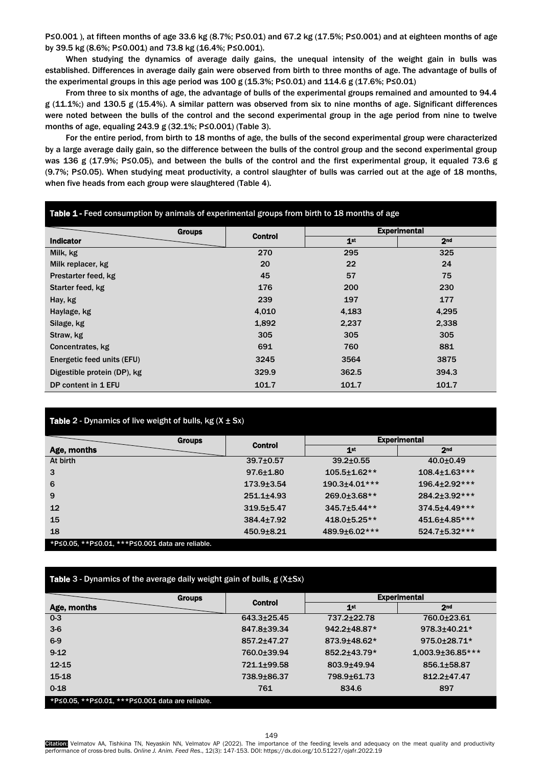P≤0.001), at fifteen months of age 33.6 kg (8.7%; P≤0.01) and 67.2 kg (17.5%; P≤0.001) and at eighteen months of age by 39.5 kg (8.6%; P≤0.001) and 73.8 kg (16.4%; P≤0.001).

When studying the dynamics of average daily gains, the unequal intensity of the weight gain in bulls was established. Differences in average daily gain were observed from birth to three months of age. The advantage of bulls of the experimental groups in this age period was 100 g (15.3%; P≤0.01) and 114.6 g (17.6%; P≤0.01)

From three to six months of age, the advantage of bulls of the experimental groups remained and amounted to 94.4 g (11.1%;) and 130.5 g (15.4%). A similar pattern was observed from six to nine months of age. Significant differences were noted between the bulls of the control and the second experimental group in the age period from nine to twelve months of age, equaling 243.9 g (32.1%; P≤0.001) (Table 3).

For the entire period, from birth to 18 months of age, the bulls of the second experimental group were characterized by a large average daily gain, so the difference between the bulls of the control group and the second experimental group was 136 g (17.9%; P≤0.05), and between the bulls of the control and the first experimental group, it equaled 73.6 g (9.7%; P≤0.05). When studying meat productivity, a control slaughter of bulls was carried out at the age of 18 months, when five heads from each group were slaughtered (Table 4).

| Table 1 - Feed consumption by animals of experimental groups from birth to 18 months of age |                |                 |                     |  |  |  |
|---------------------------------------------------------------------------------------------|----------------|-----------------|---------------------|--|--|--|
| <b>Groups</b>                                                                               | <b>Control</b> |                 | <b>Experimental</b> |  |  |  |
| <b>Indicator</b>                                                                            |                | 1 <sup>st</sup> | 2 <sub>nd</sub>     |  |  |  |
| Milk, kg                                                                                    | 270            | 295             | 325                 |  |  |  |
| Milk replacer, kg                                                                           | 20             | 22              | 24                  |  |  |  |
| Prestarter feed, kg                                                                         | 45             | 57              | 75                  |  |  |  |
| Starter feed, kg                                                                            | 176            | 200             | 230                 |  |  |  |
| Hay, kg                                                                                     | 239            | 197             | 177                 |  |  |  |
| Haylage, kg                                                                                 | 4,010          | 4,183           | 4,295               |  |  |  |
| Silage, kg                                                                                  | 1,892          | 2,237           | 2,338               |  |  |  |
| Straw, kg                                                                                   | 305            | 305             | 305                 |  |  |  |
| Concentrates, kg                                                                            | 691            | 760             | 881                 |  |  |  |
| Energetic feed units (EFU)                                                                  | 3245           | 3564            | 3875                |  |  |  |
| Digestible protein (DP), kg                                                                 | 329.9          | 362.5           | 394.3               |  |  |  |
| DP content in 1 EFU                                                                         | 101.7          | 101.7           | 101.7               |  |  |  |

# **Table 2** - Dynamics of live weight of bulls, kg  $(X \pm Sx)$

| <b>Groups</b>                                    |                  | <b>Experimental</b>  |                      |  |  |
|--------------------------------------------------|------------------|----------------------|----------------------|--|--|
| Age, months                                      | <b>Control</b>   | 1 <sup>st</sup>      | 2 <sub>nd</sub>      |  |  |
| At birth                                         | $39.7{\pm}0.57$  | $39.2 \pm 0.55$      | $40.0 \pm 0.49$      |  |  |
| 3                                                | $97.6 \pm 1.80$  | $105.5 \pm 1.62**$   | $108.4 \pm 1.63$ *** |  |  |
| 6                                                | $173.9 \pm 3.54$ | $190.3 \pm 4.01$ *** | 196.4±2.92***        |  |  |
| 9                                                | $251.1 \pm 4.93$ | 269.0±3.68**         | 284.2±3.92***        |  |  |
| $12 \overline{ }$                                | $319.5 + 5.47$   | 345.7±5.44**         | 374.5±4.49***        |  |  |
| 15                                               | $384.4 \pm 7.92$ | 418.0±5.25**         | 451.6±4.85***        |  |  |
| 18                                               | $450.9 + 8.21$   | 489.9±6.02***        | $524.7 \pm 5.32$ *** |  |  |
| *P≤0.05, **P≤0.01, ***P≤0.001 data are reliable. |                  |                      |                      |  |  |

| <b>Table</b> 3 - Dynamics of the average daily weight gain of bulls, $g(X \pm Sx)$ |  |  |  |
|------------------------------------------------------------------------------------|--|--|--|
|                                                                                    |  |  |  |

|                                                                                                                                            | <b>Groups</b> | <b>Control</b> |                 | <b>Experimental</b> |  |
|--------------------------------------------------------------------------------------------------------------------------------------------|---------------|----------------|-----------------|---------------------|--|
| Age, months                                                                                                                                |               |                | 1 <sup>st</sup> | 2 <sub>nd</sub>     |  |
| $0 - 3$                                                                                                                                    |               | 643.3±25.45    | 737.2±22.78     | 760.0±23.61         |  |
| $3-6$                                                                                                                                      |               | 847.8±39.34    | 942.2±48.87*    | 978.3±40.21*        |  |
| $6-9$                                                                                                                                      |               | 857.2±47.27    | 873.9±48.62*    | 975.0±28.71*        |  |
| $9-12$                                                                                                                                     |               | 760.0±39.94    | 852.2±43.79*    | 1,003.9±36.85***    |  |
| 12-15                                                                                                                                      |               | 721.1+99.58    | 803.9±49.94     | 856.1±58.87         |  |
| 15-18                                                                                                                                      |               | 738.9±86.37    | 798.9±61.73     | 812.2±47.47         |  |
| $0 - 18$                                                                                                                                   |               | 761            | 834.6           | 897                 |  |
| $\mathbf{u} \cdot \mathbf{v} = \mathbf{v} \cdot \mathbf{v}$ and $\mathbf{v} \cdot \mathbf{v} = \mathbf{v} \cdot \mathbf{v}$<br>$-200 - 75$ | .             |                |                 |                     |  |

\*P≤0.05, \*\*P≤0.01, \*\*\*P≤0.001 data are reliable.

**Citation:** Velmatov AA, Tishkina TN, Neyaskin NN, Velmatov AP (2022). The importance of the feeding levels and adequacy on the meat quality and productivity performance of cross-bred bulls. *Online J. Anim. Feed Res*., 12(3): 147-153. DOI: https://dx.doi.org/10.51227/ojafr.2022.19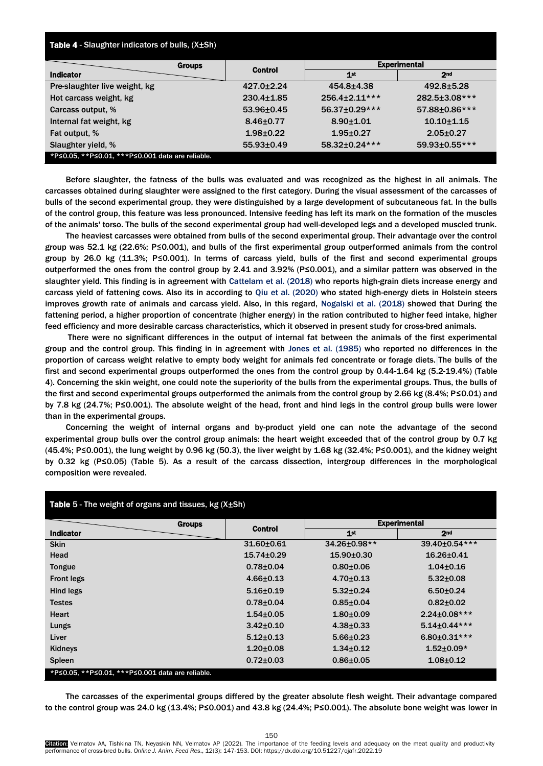| Table 4 - Slaughter indicators of bulls, (X±Sh)        |                  |                            |                     |  |  |  |
|--------------------------------------------------------|------------------|----------------------------|---------------------|--|--|--|
| <b>Groups</b>                                          | Control          |                            | <b>Experimental</b> |  |  |  |
| <b>Indicator</b>                                       |                  | 1st                        | 2 <sub>nd</sub>     |  |  |  |
| Pre-slaughter live weight, kg                          | 427.0±2.24       | 454.8±4.38                 | 492.8±5.28          |  |  |  |
| Hot carcass weight, kg                                 | $230.4 \pm 1.85$ | $256.4 \pm 2.11 \times 10$ | 282.5±3.08***       |  |  |  |
| Carcass output, %                                      | 53.96±0.45       | 56.37±0.29***              | 57.88±0.86***       |  |  |  |
| Internal fat weight, kg                                | $8.46 \pm 0.77$  | $8.90 + 1.01$              | $10.10 + 1.15$      |  |  |  |
| Fat output, %                                          | $1.98 + 0.22$    | $1.95 \pm 0.27$            | $2.05 \pm 0.27$     |  |  |  |
| Slaughter yield, %                                     | $55.93 \pm 0.49$ | 58.32±0.24***              | 59.93±0.55***       |  |  |  |
| *P ≤ 0.05, **P ≤ 0.01, ***P ≤ 0.001 data are reliable. |                  |                            |                     |  |  |  |

Before slaughter, the fatness of the bulls was evaluated and was recognized as the highest in all animals. The carcasses obtained during slaughter were assigned to the first category. During the visual assessment of the carcasses of bulls of the second experimental group, they were distinguished by a large development of subcutaneous fat. In the bulls of the control group, this feature was less pronounced. Intensive feeding has left its mark on the formation of the muscles of the animals' torso. The bulls of the second experimental group had well-developed legs and a developed muscled trunk.

The heaviest carcasses were obtained from bulls of the second experimental group. Their advantage over the control group was 52.1 kg (22.6%; P≤0.001), and bulls of the first experimental group outperformed animals from the control group by 26.0 kg (11.3%; P≤0.001). In terms of carcass yield, bulls of the first and second experimental groups outperformed the ones from the control group by 2.41 and 3.92% (P≤0.001), and a similar pattern was observed in the slaughter yield. This finding is in agreement with [Cattelam et al. \(2018\)](#page-6-0) who reports high-grain diets increase energy and carcass yield of fattening cows. Also its in according to [Qiu et al. \(2020\)](#page-6-0) who stated high-energy diets in Holstein steers improves growth rate of animals and carcass yield. Also, in this regard, [Nogalski et al. \(2018\)](#page-6-0) showed that During the fattening period, a higher proportion of concentrate (higher energy) in the ration contributed to higher feed intake, higher feed efficiency and more desirable carcass characteristics, which it observed in present study for cross-bred animals.

There were no significant differences in the output of internal fat between the animals of the first experimental group and the control group. This finding in in agreement with Jones et al. [\(1985\)](#page-6-0) who reported no differences in the proportion of carcass weight relative to empty body weight for animals fed concentrate or forage diets. The bulls of the first and second experimental groups outperformed the ones from the control group by 0.44-1.64 kg (5.2-19.4%) (Table 4). Concerning the skin weight, one could note the superiority of the bulls from the experimental groups. Thus, the bulls of the first and second experimental groups outperformed the animals from the control group by 2.66 kg (8.4%; P≤0.01) and by 7.8 kg (24.7%; P≤0.001). The absolute weight of the head, front and hind legs in the control group bulls were lower than in the experimental groups.

Concerning the weight of internal organs and by-product yield one can note the advantage of the second experimental group bulls over the control group animals: the heart weight exceeded that of the control group by 0.7 kg (45.4%; P≤0.001), the lung weight by 0.96 kg (50.3), the liver weight by 1.68 kg (32.4%; P≤0.001), and the kidney weight by 0.32 kg (P≤0.05) (Table 5). As a result of the carcass dissection, intergroup differences in the morphological composition were revealed.

| <b>Table 5 - The weight of organs and tissues, <math>kg(X \pm Sh)</math></b> |                                 |                     |                     |  |  |  |
|------------------------------------------------------------------------------|---------------------------------|---------------------|---------------------|--|--|--|
|                                                                              | <b>Groups</b><br><b>Control</b> | <b>Experimental</b> |                     |  |  |  |
| <b>Indicator</b>                                                             |                                 | 1 <sup>st</sup>     | 2 <sub>nd</sub>     |  |  |  |
| <b>Skin</b>                                                                  | $31.60 \pm 0.61$                | 34.26±0.98**        | 39.40±0.54 ***      |  |  |  |
| Head                                                                         | $15.74 \pm 0.29$                | $15.90 \pm 0.30$    | $16.26 \pm 0.41$    |  |  |  |
| Tongue                                                                       | $0.78 + 0.04$                   | $0.80 + 0.06$       | $1.04 \pm 0.16$     |  |  |  |
| <b>Front legs</b>                                                            | $4.66 \pm 0.13$                 | $4.70 \pm 0.13$     | $5.32 \pm 0.08$     |  |  |  |
| Hind legs                                                                    | $5.16 + 0.19$                   | $5.32 \pm 0.24$     | $6.50 \pm 0.24$     |  |  |  |
| <b>Testes</b>                                                                | $0.78 + 0.04$                   | $0.85 \pm 0.04$     | $0.82{\pm}0.02$     |  |  |  |
| <b>Heart</b>                                                                 | $1.54 \pm 0.05$                 | $1.80 + 0.09$       | $2.24 \pm 0.08$ *** |  |  |  |
| Lungs                                                                        | $3.42 \pm 0.10$                 | $4.38 + 0.33$       | $5.14 \pm 0.44$ *** |  |  |  |
| Liver                                                                        | $5.12 \pm 0.13$                 | $5.66 \pm 0.23$     | $6.80 \pm 0.31***$  |  |  |  |
| Kidneys                                                                      | $1.20 \pm 0.08$                 | $1.34 \pm 0.12$     | $1.52 \pm 0.09*$    |  |  |  |
| <b>Spleen</b>                                                                | $0.72 \pm 0.03$                 | $0.86 \pm 0.05$     | $1.08 \pm 0.12$     |  |  |  |
| *P≤0.05, **P≤0.01, ***P≤0.001 data are reliable.                             |                                 |                     |                     |  |  |  |

The carcasses of the experimental groups differed by the greater absolute flesh weight. Their advantage compared to the control group was 24.0 kg (13.4%; P≤0.001) and 43.8 kg (24.4%; P≤0.001). The absolute bone weight was lower in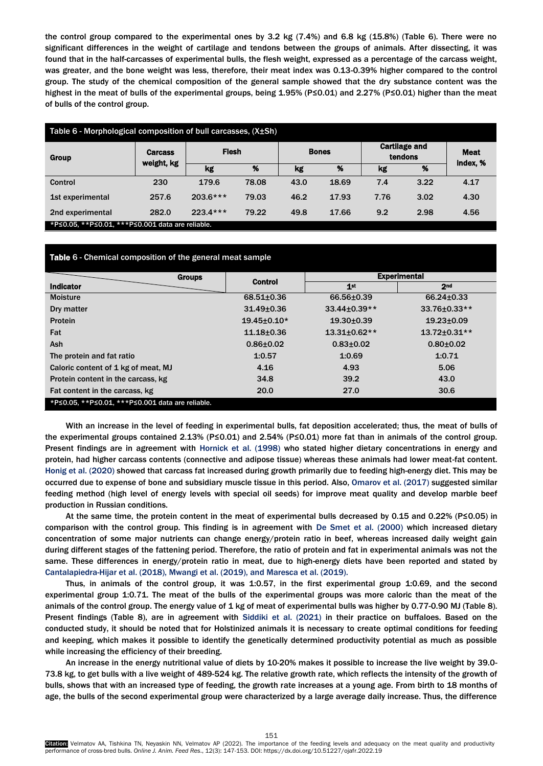the control group compared to the experimental ones by 3.2 kg (7.4%) and 6.8 kg (15.8%) (Table 6). There were no significant differences in the weight of cartilage and tendons between the groups of animals. After dissecting, it was found that in the half-carcasses of experimental bulls, the flesh weight, expressed as a percentage of the carcass weight, was greater, and the bone weight was less, therefore, their meat index was 0.13-0.39% higher compared to the control group. The study of the chemical composition of the general sample showed that the dry substance content was the highest in the meat of bulls of the experimental groups, being 1.95% (P≤0.01) and 2.27% (P≤0.01) higher than the meat of bulls of the control group.

| Table 6 - Morphological composition of bull carcasses, (X±Sh)                                                                                      |            |                 |       |              |       |                                 |      |                         |
|----------------------------------------------------------------------------------------------------------------------------------------------------|------------|-----------------|-------|--------------|-------|---------------------------------|------|-------------------------|
| <b>Carcass</b><br>Group                                                                                                                            | weight, kg | <b>Flesh</b>    |       | <b>Bones</b> |       | <b>Cartilage and</b><br>tendons |      | <b>Meat</b><br>index, % |
|                                                                                                                                                    |            | kg              | %     | kg           | %     | kg                              | %    |                         |
| Control                                                                                                                                            | 230        | 179.6           | 78.08 | 43.0         | 18.69 | 7.4                             | 3.22 | 4.17                    |
| 1st experimental                                                                                                                                   | 257.6      | $203.6***$      | 79.03 | 46.2         | 17.93 | 7.76                            | 3.02 | 4.30                    |
| 2nd experimental<br>$\mathbf{a}$ , and $\mathbf{a}$ , and $\mathbf{a}$ , and $\mathbf{a}$ , and $\mathbf{a}$ , and $\mathbf{a}$ , and $\mathbf{a}$ | 282.0      | $223.4***$<br>. | 79.22 | 49.8         | 17.66 | 9.2                             | 2.98 | 4.56                    |

P≤0.05, \*\*P≤0.01, \*\*\*P≤0.001 data are reliable.

# Table 6 - Chemical composition of the general meat sample

| <b>Groups</b>                                    |                   | <b>Experimental</b> |                  |  |
|--------------------------------------------------|-------------------|---------------------|------------------|--|
| <b>Indicator</b>                                 | <b>Control</b>    | 1st                 | 2 <sub>nd</sub>  |  |
| <b>Moisture</b>                                  | $68.51 \pm 0.36$  | 66.56±0.39          | $66.24 \pm 0.33$ |  |
| Dry matter                                       | $31.49 \pm 0.36$  | 33.44±0.39**        | 33.76±0.33**     |  |
| Protein                                          | $19.45 \pm 0.10*$ | $19.30 \pm 0.39$    | $19.23 \pm 0.09$ |  |
| Fat                                              | $11.18 + 0.36$    | 13.31±0.62**        | 13.72±0.31**     |  |
| <b>Ash</b>                                       | $0.86 \pm 0.02$   | $0.83{\pm}0.02$     | $0.80 + 0.02$    |  |
| The protein and fat ratio                        | 1:0.57            | 1:0.69              | 1:0.71           |  |
| Caloric content of 1 kg of meat, MJ              | 4.16              | 4.93                | 5.06             |  |
| Protein content in the carcass, kg               | 34.8              | 39.2                | 43.0             |  |
| Fat content in the carcass, kg                   | 20.0              | 27.0                | 30.6             |  |
| *P≤0.05. **P≤0.01. ***P≤0.001 data are reliable. |                   |                     |                  |  |

With an increase in the level of feeding in experimental bulls, fat deposition accelerated; thus, the meat of bulls of the experimental groups contained 2.13% (P≤0.01) and 2.54% (P≤0.01) more fat than in animals of the control group. Present findings are in agreement with [Hornick et al. \(1998\)](#page-6-0) who stated higher dietary concentrations in energy and protein, had higher carcass contents (connective and adipose tissue) whereas these animals had lower meat-fat content. [Honig et al. \(2020\)](#page-6-0) showed that carcass fat increased during growth primarily due to feeding high-energy diet. This may be occurred due to expense of bone and subsidiary muscle tissue in this period. Also, [Omarov et al. \(2017\)](#page-6-0) suggested similar feeding method (high level of energy levels with special oil seeds) for improve meat quality and develop marble beef production in Russian conditions.

At the same time, the protein content in the meat of experimental bulls decreased by 0.15 and 0.22% (P≤0.05) in comparison with the control group. This finding is in agreement with [De Smet et al. \(2000\)](#page-6-0) which increased dietary concentration of some major nutrients can change energy/protein ratio in beef, whereas increased daily weight gain during different stages of the fattening period. Therefore, the ratio of protein and fat in experimental animals was not the same. These differences in energy/protein ratio in meat, due to high-energy diets have been reported and stated by [Cantalapiedra-Hijar et al. \(2018\), Mwangi et al. \(2019\), and Maresca et al. \(2019\).](#page-6-0) 

Thus, in animals of the control group, it was 1:0.57, in the first experimental group 1:0.69, and the second experimental group 1:0.71. The meat of the bulls of the experimental groups was more caloric than the meat of the animals of the control group. The energy value of 1 kg of meat of experimental bulls was higher by 0.77-0.90 MJ (Table 8). Present findings (Table 8), are in agreement with [Siddiki et al. \(2021\)](#page-6-0) in their practice on buffaloes. Based on the conducted study, it should be noted that for Holstinized animals it is necessary to create optimal conditions for feeding and keeping, which makes it possible to identify the genetically determined productivity potential as much as possible while increasing the efficiency of their breeding.

An increase in the energy nutritional value of diets by 10-20% makes it possible to increase the live weight by 39.0- 73.8 kg, to get bulls with a live weight of 489-524 kg. The relative growth rate, which reflects the intensity of the growth of bulls, shows that with an increased type of feeding, the growth rate increases at a young age. From birth to 18 months of age, the bulls of the second experimental group were characterized by a large average daily increase. Thus, the difference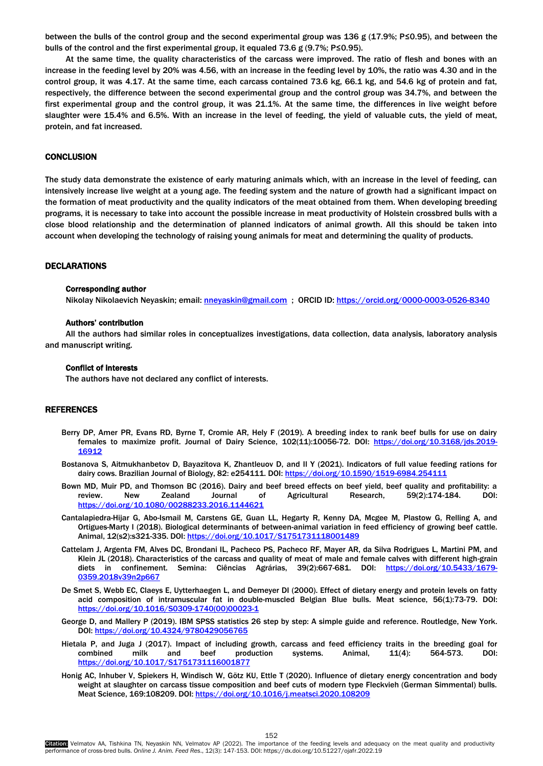<span id="page-5-0"></span>between the bulls of the control group and the second experimental group was 136 g (17.9%; P≤0.95), and between the bulls of the control and the first experimental group, it equaled 73.6 g (9.7%; P≤0.95).

At the same time, the quality characteristics of the carcass were improved. The ratio of flesh and bones with an increase in the feeding level by 20% was 4.56, with an increase in the feeding level by 10%, the ratio was 4.30 and in the control group, it was 4.17. At the same time, each carcass contained 73.6 kg, 66.1 kg, and 54.6 kg of protein and fat, respectively, the difference between the second experimental group and the control group was 34.7%, and between the first experimental group and the control group, it was 21.1%. At the same time, the differences in live weight before slaughter were 15.4% and 6.5%. With an increase in the level of feeding, the yield of valuable cuts, the yield of meat, protein, and fat increased.

# **CONCLUSION**

The study data demonstrate the existence of early maturing animals which, with an increase in the level of feeding, can intensively increase live weight at a young age. The feeding system and the nature of growth had a significant impact on the formation of meat productivity and the quality indicators of the meat obtained from them. When developing breeding programs, it is necessary to take into account the possible increase in meat productivity of Holstein crossbred bulls with a close blood relationship and the determination of planned indicators of animal growth. All this should be taken into account when developing the technology of raising young animals for meat and determining the quality of products.

## DECLARATIONS

### Corresponding author

Nikolay Nikolaevich Neyaskin; email: [nneyaskin@gmail.com](mailto:nneyaskin@gmail.com) ; ORCID ID[: https://orcid.org/0000-0003-0526-8340](https://orcid.org/0000-0003-0526-8340) 

# Authors' contribution

All the authors had similar roles in conceptualizes investigations, data collection, data analysis, laboratory analysis and manuscript writing.

#### Conflict of interests

The authors have not declared any conflict of interests.

## REFERENCES

- Berry DP, Amer PR, Evans RD, Byrne T, Cromie AR, Hely F (2019). A breeding index to rank beef bulls for use on dairy females to maximize profit. Journal of Dairy Science, 102(11):10056-72. DOI: [https://doi.org/10.3168/jds.2019-](https://doi.org/10.3168/jds.2019-16912) [16912](https://doi.org/10.3168/jds.2019-16912)
- Bostanova S, Aitmukhanbetov D, Bayazitova K, Zhantleuov D, and Il Y (2021). Indicators of full value feeding rations for dairy cows. Brazilian Journal of Biology, 82: e254111. DOI[: https://doi.org/10.1590/1519-6984.254111](https://doi.org/10.1590/1519-6984.254111)
- Bown MD, Muir PD, and Thomson BC (2016). Dairy and beef breed effects on beef yield, beef quality and profitability: a review. New Zealand Journal of Agricultural Research, 59(2):174-184. DOI: <https://doi.org/10.1080/00288233.2016.1144621>
- Cantalapiedra-Hijar G, Abo-Ismail M, Carstens GE, Guan LL, Hegarty R, Kenny DA, Mcgee M, Plastow G, Relling A, and Ortigues-Marty I (2018). Biological determinants of between-animal variation in feed efficiency of growing beef cattle. Animal, 12(s2):s321-335. DOI[: https://doi.org/10.1017/S1751731118001489](https://doi.org/10.1017/S1751731118001489)
- Cattelam J, Argenta FM, Alves DC, Brondani IL, Pacheco PS, Pacheco RF, Mayer AR, da Silva Rodrigues L, Martini PM, and Klein JL (2018). Characteristics of the carcass and quality of meat of male and female calves with different high-grain diets in confinement. Semina: Ciências Agrárias, 39(2):667-681. DOI: [https://doi.org/10.5433/1679-](https://doi.org/10.5433/1679-0359.2018v39n2p667) [0359.2018v39n2p667](https://doi.org/10.5433/1679-0359.2018v39n2p667)
- De Smet S, Webb EC, Claeys E, Uytterhaegen L, and Demeyer DI (2000). Effect of dietary energy and protein levels on fatty acid composition of intramuscular fat in double-muscled Belgian Blue bulls. Meat science, 56(1):73-79. DOI: [https://doi.org/10.1016/S0309-1740\(00\)00023-1](https://doi.org/10.1016/S0309-1740(00)00023-1)
- George D, and Mallery P (2019). IBM SPSS statistics 26 step by step: A simple guide and reference. Routledge, New York. DOI:<https://doi.org/10.4324/9780429056765>
- Hietala P, and Juga J (2017). Impact of including growth, carcass and feed efficiency traits in the breeding goal for combined milk and beef production systems. Animal, 11(4): 564-573. DOI: <https://doi.org/10.1017/S1751731116001877>
- Honig AC, Inhuber V, Spiekers H, Windisch W, Götz KU, Ettle T (2020). Influence of dietary energy concentration and body weight at slaughter on carcass tissue composition and beef cuts of modern type Fleckvieh (German Simmental) bulls. Meat Science, 169:108209. DOI[: https://doi.org/10.1016/j.meatsci.2020.108209](https://doi.org/10.1016/j.meatsci.2020.108209)